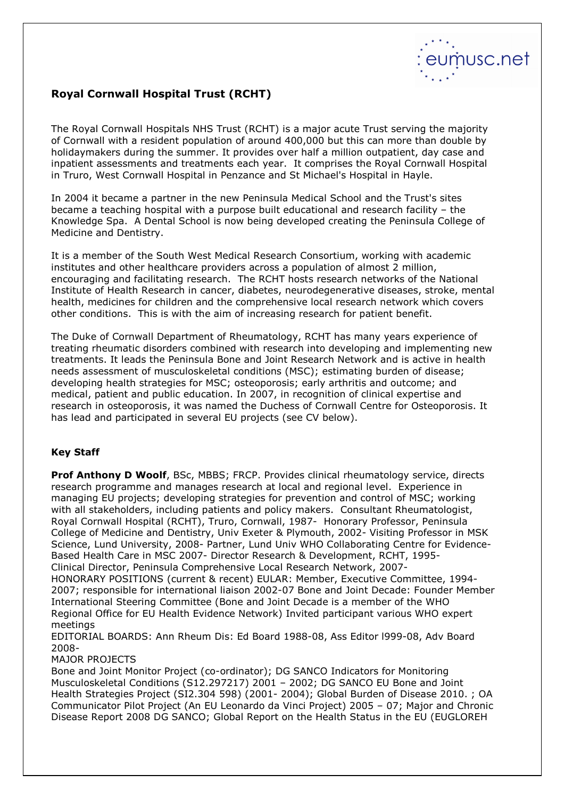

## Royal Cornwall Hospital Trust (RCHT)

The Royal Cornwall Hospitals NHS Trust (RCHT) is a major acute Trust serving the majority of Cornwall with a resident population of around 400,000 but this can more than double by holidaymakers during the summer. It provides over half a million outpatient, day case and inpatient assessments and treatments each year. It comprises the Royal Cornwall Hospital in Truro, West Cornwall Hospital in Penzance and St Michael's Hospital in Hayle.

In 2004 it became a partner in the new Peninsula Medical School and the Trust's sites became a teaching hospital with a purpose built educational and research facility – the Knowledge Spa. A Dental School is now being developed creating the Peninsula College of Medicine and Dentistry.

It is a member of the South West Medical Research Consortium, working with academic institutes and other healthcare providers across a population of almost 2 million, encouraging and facilitating research. The RCHT hosts research networks of the National Institute of Health Research in cancer, diabetes, neurodegenerative diseases, stroke, mental health, medicines for children and the comprehensive local research network which covers other conditions. This is with the aim of increasing research for patient benefit.

The Duke of Cornwall Department of Rheumatology, RCHT has many years experience of treating rheumatic disorders combined with research into developing and implementing new treatments. It leads the Peninsula Bone and Joint Research Network and is active in health needs assessment of musculoskeletal conditions (MSC); estimating burden of disease; developing health strategies for MSC; osteoporosis; early arthritis and outcome; and medical, patient and public education. In 2007, in recognition of clinical expertise and research in osteoporosis, it was named the Duchess of Cornwall Centre for Osteoporosis. It has lead and participated in several EU projects (see CV below).

## Key Staff

Prof Anthony D Woolf, BSc, MBBS; FRCP. Provides clinical rheumatology service, directs research programme and manages research at local and regional level. Experience in managing EU projects; developing strategies for prevention and control of MSC; working with all stakeholders, including patients and policy makers. Consultant Rheumatologist, Royal Cornwall Hospital (RCHT), Truro, Cornwall, 1987- Honorary Professor, Peninsula College of Medicine and Dentistry, Univ Exeter & Plymouth, 2002- Visiting Professor in MSK Science, Lund University, 2008- Partner, Lund Univ WHO Collaborating Centre for Evidence-Based Health Care in MSC 2007- Director Research & Development, RCHT, 1995- Clinical Director, Peninsula Comprehensive Local Research Network, 2007- HONORARY POSITIONS (current & recent) EULAR: Member, Executive Committee, 1994- 2007; responsible for international liaison 2002-07 Bone and Joint Decade: Founder Member International Steering Committee (Bone and Joint Decade is a member of the WHO Regional Office for EU Health Evidence Network) Invited participant various WHO expert meetings

EDITORIAL BOARDS: Ann Rheum Dis: Ed Board 1988-08, Ass Editor l999-08, Adv Board 2008-

## MAJOR PROJECTS

Bone and Joint Monitor Project (co-ordinator); DG SANCO Indicators for Monitoring Musculoskeletal Conditions (S12.297217) 2001 – 2002; DG SANCO EU Bone and Joint Health Strategies Project (SI2.304 598) (2001- 2004); Global Burden of Disease 2010. ; OA Communicator Pilot Project (An EU Leonardo da Vinci Project) 2005 – 07; Major and Chronic Disease Report 2008 DG SANCO; Global Report on the Health Status in the EU (EUGLOREH